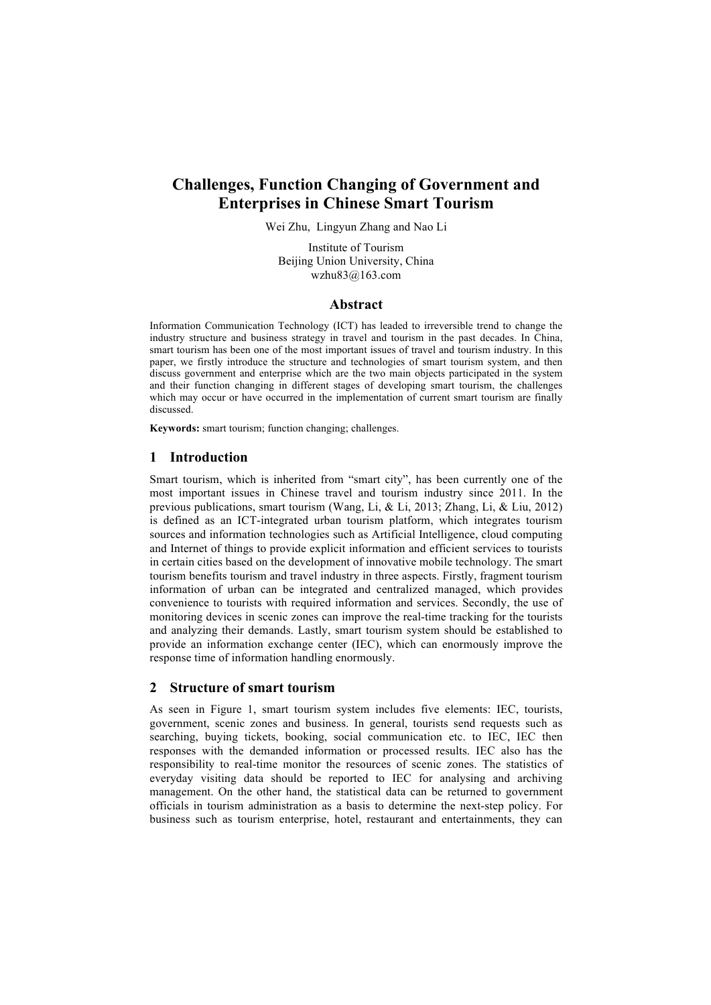# **Challenges, Function Changing of Government and Enterprises in Chinese Smart Tourism**

Wei Zhu, Lingyun Zhang and Nao Li

Institute of Tourism Beijing Union University, China wzhu83@163.com

#### **Abstract**

Information Communication Technology (ICT) has leaded to irreversible trend to change the industry structure and business strategy in travel and tourism in the past decades. In China, smart tourism has been one of the most important issues of travel and tourism industry. In this paper, we firstly introduce the structure and technologies of smart tourism system, and then discuss government and enterprise which are the two main objects participated in the system and their function changing in different stages of developing smart tourism, the challenges which may occur or have occurred in the implementation of current smart tourism are finally discussed.

**Keywords:** smart tourism; function changing; challenges.

## **1 Introduction**

Smart tourism, which is inherited from "smart city", has been currently one of the most important issues in Chinese travel and tourism industry since 2011. In the previous publications, smart tourism (Wang, Li, & Li, 2013; Zhang, Li, & Liu, 2012) is defined as an ICT-integrated urban tourism platform, which integrates tourism sources and information technologies such as Artificial Intelligence, cloud computing and Internet of things to provide explicit information and efficient services to tourists in certain cities based on the development of innovative mobile technology. The smart tourism benefits tourism and travel industry in three aspects. Firstly, fragment tourism information of urban can be integrated and centralized managed, which provides convenience to tourists with required information and services. Secondly, the use of monitoring devices in scenic zones can improve the real-time tracking for the tourists and analyzing their demands. Lastly, smart tourism system should be established to provide an information exchange center (IEC), which can enormously improve the response time of information handling enormously.

## **2 Structure of smart tourism**

As seen in Figure 1, smart tourism system includes five elements: IEC, tourists, government, scenic zones and business. In general, tourists send requests such as searching, buying tickets, booking, social communication etc. to IEC, IEC then responses with the demanded information or processed results. IEC also has the responsibility to real-time monitor the resources of scenic zones. The statistics of everyday visiting data should be reported to IEC for analysing and archiving management. On the other hand, the statistical data can be returned to government officials in tourism administration as a basis to determine the next-step policy. For business such as tourism enterprise, hotel, restaurant and entertainments, they can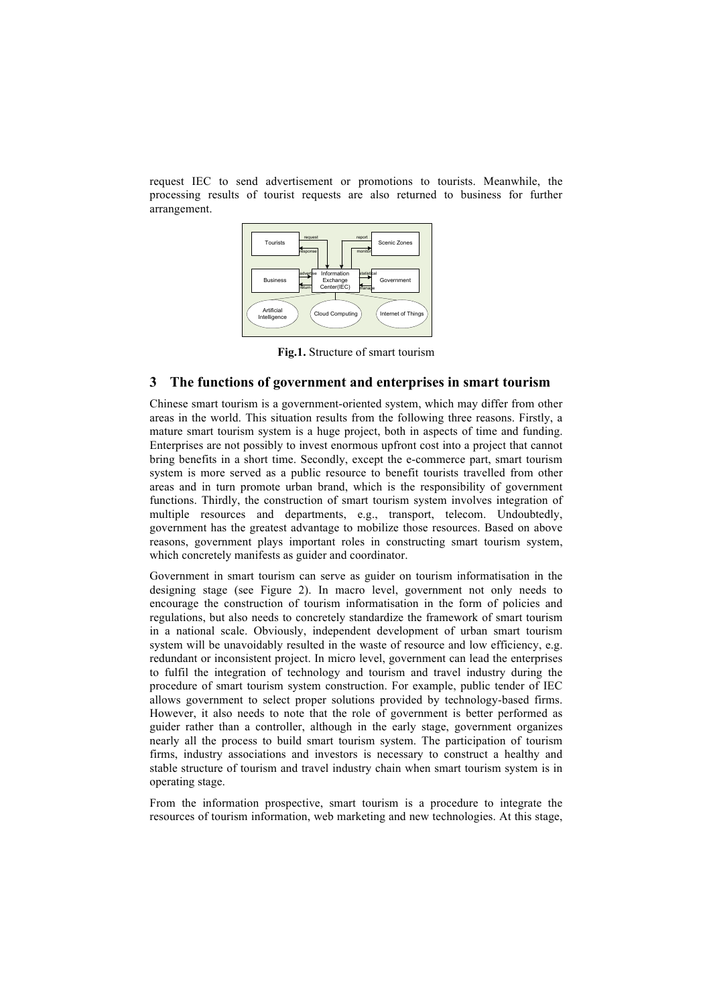request IEC to send advertisement or promotions to tourists. Meanwhile, the processing results of tourist requests are also returned to business for further arrangement.



**Fig.1.** Structure of smart tourism

#### **3 The functions of government and enterprises in smart tourism**

Chinese smart tourism is a government-oriented system, which may differ from other areas in the world. This situation results from the following three reasons. Firstly, a mature smart tourism system is a huge project, both in aspects of time and funding. Enterprises are not possibly to invest enormous upfront cost into a project that cannot bring benefits in a short time. Secondly, except the e-commerce part, smart tourism system is more served as a public resource to benefit tourists travelled from other areas and in turn promote urban brand, which is the responsibility of government functions. Thirdly, the construction of smart tourism system involves integration of multiple resources and departments, e.g., transport, telecom. Undoubtedly, government has the greatest advantage to mobilize those resources. Based on above reasons, government plays important roles in constructing smart tourism system, which concretely manifests as guider and coordinator.

Government in smart tourism can serve as guider on tourism informatisation in the designing stage (see Figure 2). In macro level, government not only needs to encourage the construction of tourism informatisation in the form of policies and regulations, but also needs to concretely standardize the framework of smart tourism in a national scale. Obviously, independent development of urban smart tourism system will be unavoidably resulted in the waste of resource and low efficiency, e.g. redundant or inconsistent project. In micro level, government can lead the enterprises to fulfil the integration of technology and tourism and travel industry during the procedure of smart tourism system construction. For example, public tender of IEC allows government to select proper solutions provided by technology-based firms. However, it also needs to note that the role of government is better performed as guider rather than a controller, although in the early stage, government organizes nearly all the process to build smart tourism system. The participation of tourism firms, industry associations and investors is necessary to construct a healthy and stable structure of tourism and travel industry chain when smart tourism system is in operating stage.

From the information prospective, smart tourism is a procedure to integrate the resources of tourism information, web marketing and new technologies. At this stage,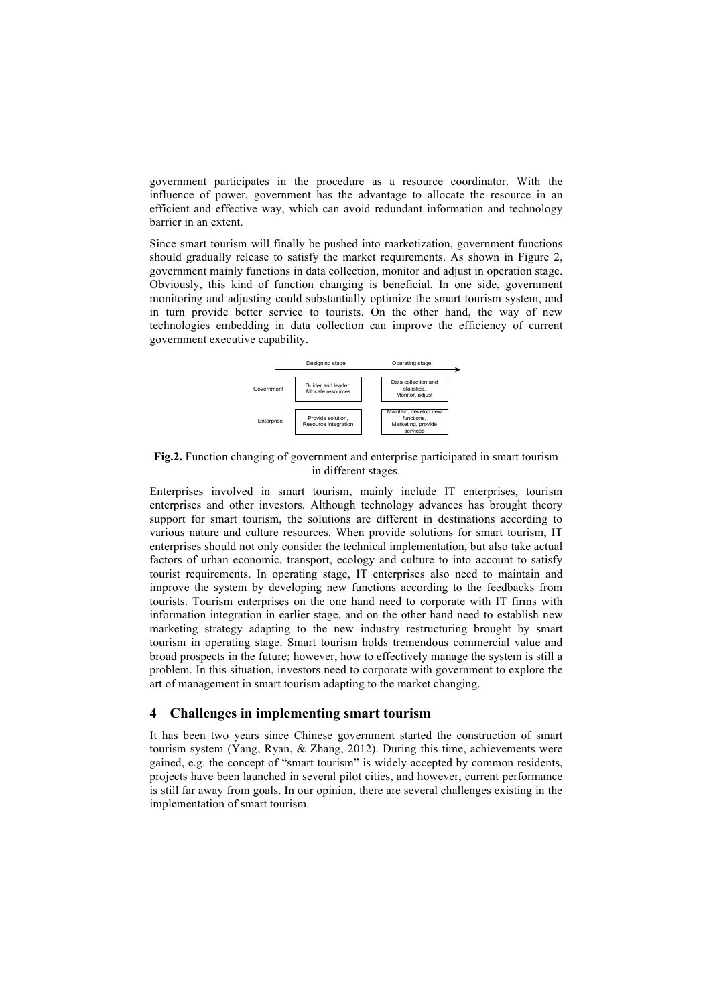government participates in the procedure as a resource coordinator. With the influence of power, government has the advantage to allocate the resource in an efficient and effective way, which can avoid redundant information and technology barrier in an extent.

Since smart tourism will finally be pushed into marketization, government functions should gradually release to satisfy the market requirements. As shown in Figure 2, government mainly functions in data collection, monitor and adjust in operation stage. Obviously, this kind of function changing is beneficial. In one side, government monitoring and adjusting could substantially optimize the smart tourism system, and in turn provide better service to tourists. On the other hand, the way of new technologies embedding in data collection can improve the efficiency of current government executive capability.



**Fig.2.** Function changing of government and enterprise participated in smart tourism in different stages.

Enterprises involved in smart tourism, mainly include IT enterprises, tourism enterprises and other investors. Although technology advances has brought theory support for smart tourism, the solutions are different in destinations according to various nature and culture resources. When provide solutions for smart tourism, IT enterprises should not only consider the technical implementation, but also take actual factors of urban economic, transport, ecology and culture to into account to satisfy tourist requirements. In operating stage, IT enterprises also need to maintain and improve the system by developing new functions according to the feedbacks from tourists. Tourism enterprises on the one hand need to corporate with IT firms with information integration in earlier stage, and on the other hand need to establish new marketing strategy adapting to the new industry restructuring brought by smart tourism in operating stage. Smart tourism holds tremendous commercial value and broad prospects in the future; however, how to effectively manage the system is still a problem. In this situation, investors need to corporate with government to explore the art of management in smart tourism adapting to the market changing.

### **4 Challenges in implementing smart tourism**

It has been two years since Chinese government started the construction of smart tourism system (Yang, Ryan, & Zhang, 2012). During this time, achievements were gained, e.g. the concept of "smart tourism" is widely accepted by common residents, projects have been launched in several pilot cities, and however, current performance is still far away from goals. In our opinion, there are several challenges existing in the implementation of smart tourism.